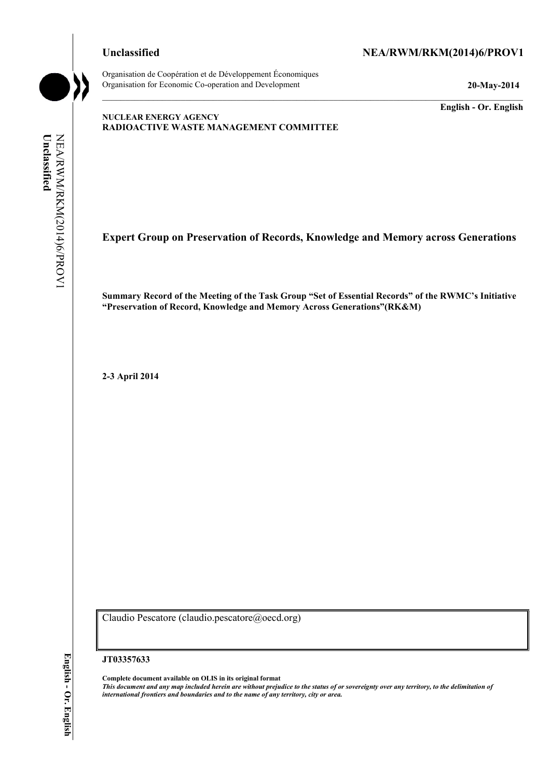# Unclassified NEA/RWM/RKM(2014)6/PROV1

Organisation de Coopération et de Développement Économiques Organisation for Economic Co-operation and Development **20-May-2014** 

**English - Or. English** 

## **NUCLEAR ENERGY AGENCY RADIOACTIVE WASTE MANAGEMENT COMMITTEE**

Unclassified NEA/RWM/RKM(2014)6/PROV1 **Unclassified**  NEA/RWM/RKM(2014)6/PROV1

**Expert Group on Preservation of Records, Knowledge and Memory across Generations** 

**Summary Record of the Meeting of the Task Group "Set of Essential Records" of the RWMC's Initiative "Preservation of Record, Knowledge and Memory Across Generations"(RK&M)** 

**2-3 April 2014** 

Claudio Pescatore (claudio.pescatore@oecd.org)

**JT03357633** 

**Complete document available on OLIS in its original format** *This document and any map included herein are without prejudice to the status of or sovereignty over any territory, to the delimitation of international frontiers and boundaries and to the name of any territory, city or area.*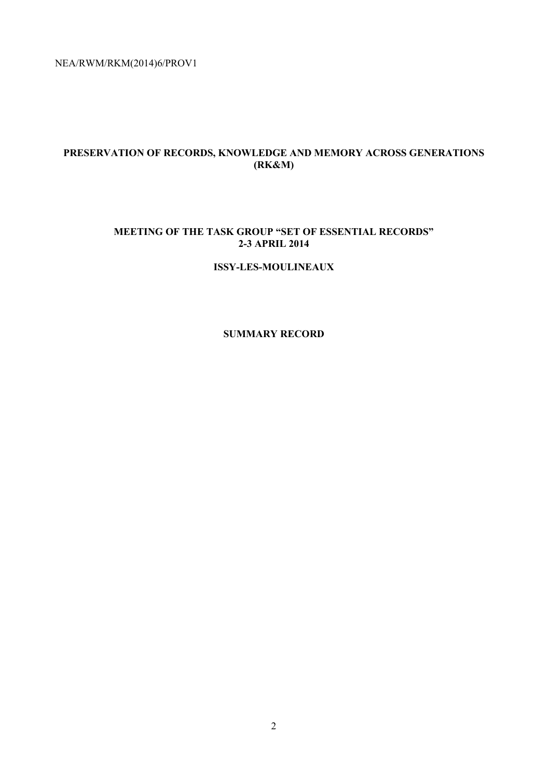# **PRESERVATION OF RECORDS, KNOWLEDGE AND MEMORY ACROSS GENERATIONS (RK&M)**

# **MEETING OF THE TASK GROUP "SET OF ESSENTIAL RECORDS" 2-3 APRIL 2014**

## **ISSY-LES-MOULINEAUX**

# **SUMMARY RECORD**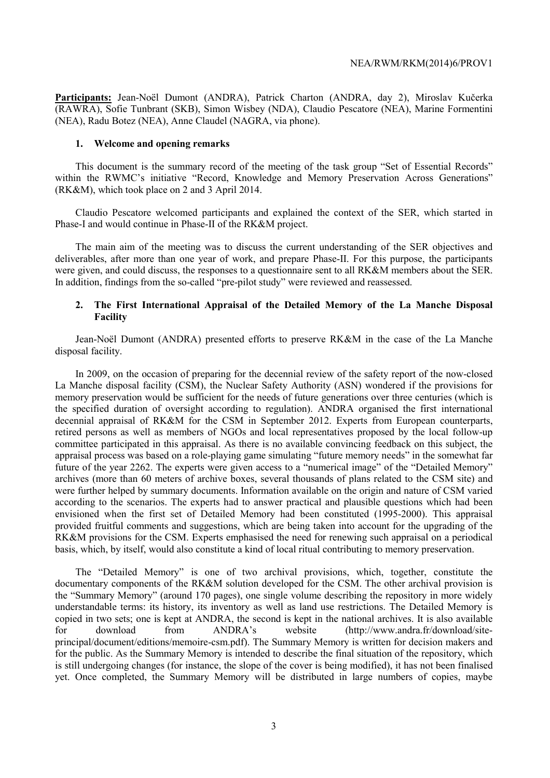**Participants:** Jean-Noël Dumont (ANDRA), Patrick Charton (ANDRA, day 2), Miroslav Kučerka (RAWRA), Sofie Tunbrant (SKB), Simon Wisbey (NDA), Claudio Pescatore (NEA), Marine Formentini (NEA), Radu Botez (NEA), Anne Claudel (NAGRA, via phone).

#### **1. Welcome and opening remarks**

This document is the summary record of the meeting of the task group "Set of Essential Records" within the RWMC's initiative "Record, Knowledge and Memory Preservation Across Generations" (RK&M), which took place on 2 and 3 April 2014.

Claudio Pescatore welcomed participants and explained the context of the SER, which started in Phase-I and would continue in Phase-II of the RK&M project.

The main aim of the meeting was to discuss the current understanding of the SER objectives and deliverables, after more than one year of work, and prepare Phase-II. For this purpose, the participants were given, and could discuss, the responses to a questionnaire sent to all RK&M members about the SER. In addition, findings from the so-called "pre-pilot study" were reviewed and reassessed.

## **2. The First International Appraisal of the Detailed Memory of the La Manche Disposal Facility**

Jean-Noël Dumont (ANDRA) presented efforts to preserve RK&M in the case of the La Manche disposal facility.

In 2009, on the occasion of preparing for the decennial review of the safety report of the now-closed La Manche disposal facility (CSM), the Nuclear Safety Authority (ASN) wondered if the provisions for memory preservation would be sufficient for the needs of future generations over three centuries (which is the specified duration of oversight according to regulation). ANDRA organised the first international decennial appraisal of RK&M for the CSM in September 2012. Experts from European counterparts, retired persons as well as members of NGOs and local representatives proposed by the local follow-up committee participated in this appraisal. As there is no available convincing feedback on this subject, the appraisal process was based on a role-playing game simulating "future memory needs" in the somewhat far future of the year 2262. The experts were given access to a "numerical image" of the "Detailed Memory" archives (more than 60 meters of archive boxes, several thousands of plans related to the CSM site) and were further helped by summary documents. Information available on the origin and nature of CSM varied according to the scenarios. The experts had to answer practical and plausible questions which had been envisioned when the first set of Detailed Memory had been constituted (1995-2000). This appraisal provided fruitful comments and suggestions, which are being taken into account for the upgrading of the RK&M provisions for the CSM. Experts emphasised the need for renewing such appraisal on a periodical basis, which, by itself, would also constitute a kind of local ritual contributing to memory preservation.

The "Detailed Memory" is one of two archival provisions, which, together, constitute the documentary components of the RK&M solution developed for the CSM. The other archival provision is the "Summary Memory" (around 170 pages), one single volume describing the repository in more widely understandable terms: its history, its inventory as well as land use restrictions. The Detailed Memory is copied in two sets; one is kept at ANDRA, the second is kept in the national archives. It is also available for download from ANDRA's website (http://www.andra.fr/download/siteprincipal/document/editions/memoire-csm.pdf). The Summary Memory is written for decision makers and for the public. As the Summary Memory is intended to describe the final situation of the repository, which is still undergoing changes (for instance, the slope of the cover is being modified), it has not been finalised yet. Once completed, the Summary Memory will be distributed in large numbers of copies, maybe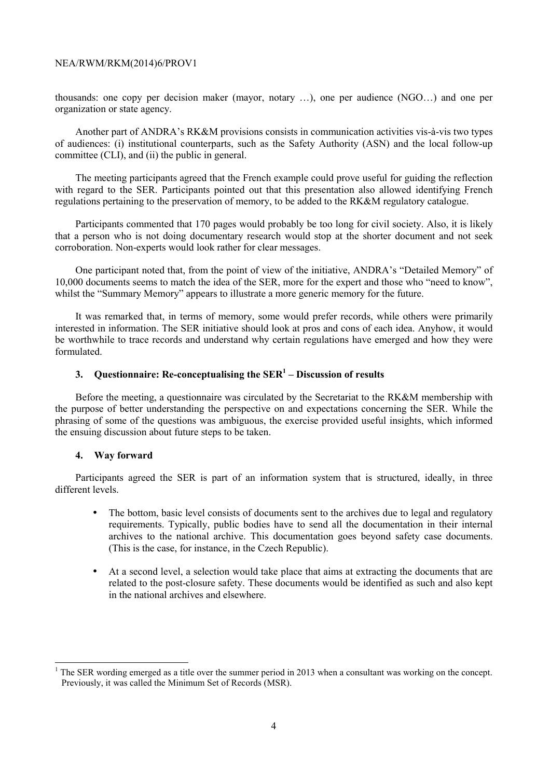thousands: one copy per decision maker (mayor, notary …), one per audience (NGO…) and one per organization or state agency.

Another part of ANDRA's RK&M provisions consists in communication activities vis-à-vis two types of audiences: (i) institutional counterparts, such as the Safety Authority (ASN) and the local follow-up committee (CLI), and (ii) the public in general.

The meeting participants agreed that the French example could prove useful for guiding the reflection with regard to the SER. Participants pointed out that this presentation also allowed identifying French regulations pertaining to the preservation of memory, to be added to the RK&M regulatory catalogue.

Participants commented that 170 pages would probably be too long for civil society. Also, it is likely that a person who is not doing documentary research would stop at the shorter document and not seek corroboration. Non-experts would look rather for clear messages.

One participant noted that, from the point of view of the initiative, ANDRA's "Detailed Memory" of 10,000 documents seems to match the idea of the SER, more for the expert and those who "need to know", whilst the "Summary Memory" appears to illustrate a more generic memory for the future.

It was remarked that, in terms of memory, some would prefer records, while others were primarily interested in information. The SER initiative should look at pros and cons of each idea. Anyhow, it would be worthwhile to trace records and understand why certain regulations have emerged and how they were formulated.

# **3. Questionnaire: Re-conceptualising the SER1 – Discussion of results**

Before the meeting, a questionnaire was circulated by the Secretariat to the RK&M membership with the purpose of better understanding the perspective on and expectations concerning the SER. While the phrasing of some of the questions was ambiguous, the exercise provided useful insights, which informed the ensuing discussion about future steps to be taken.

#### **4. Way forward**

Participants agreed the SER is part of an information system that is structured, ideally, in three different levels.

- The bottom, basic level consists of documents sent to the archives due to legal and regulatory requirements. Typically, public bodies have to send all the documentation in their internal archives to the national archive. This documentation goes beyond safety case documents. (This is the case, for instance, in the Czech Republic).
- At a second level, a selection would take place that aims at extracting the documents that are related to the post-closure safety. These documents would be identified as such and also kept in the national archives and elsewhere.

<sup>1</sup> The SER wording emerged as a title over the summer period in 2013 when a consultant was working on the concept. Previously, it was called the Minimum Set of Records (MSR).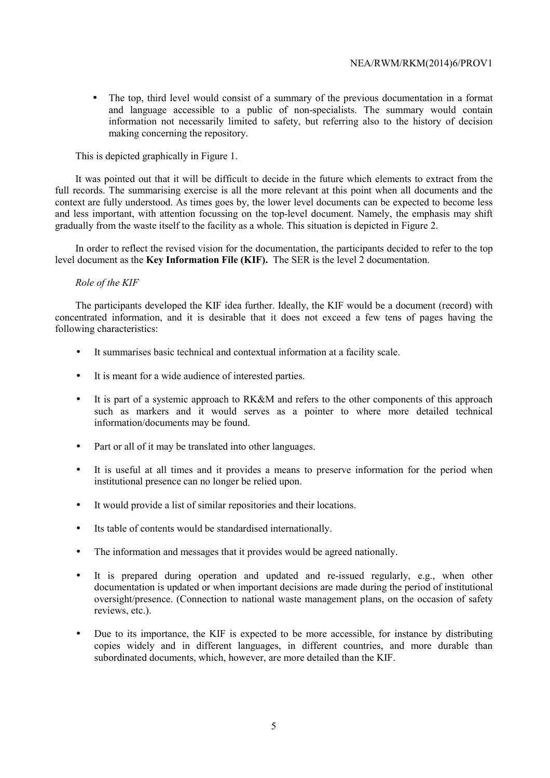• The top, third level would consist of a summary of the previous documentation in a format and language accessible to a public of non-specialists. The summary would contain information not necessarily limited to safety, but referring also to the history of decision making concerning the repository.

This is depicted graphically in Figure 1.

It was pointed out that it will be difficult to decide in the future which elements to extract from the full records. The summarising exercise is all the more relevant at this point when all documents and the context are fully understood. As times goes by, the lower level documents can be expected to become less and less important, with attention focussing on the top-level document. Namely, the emphasis may shift gradually from the waste itself to the facility as a whole. This situation is depicted in Figure 2.

In order to reflect the revised vision for the documentation, the participants decided to refer to the top level document as the **Key Information File (KIF).** The SER is the level 2 documentation.

## *Role of the KIF*

The participants developed the KIF idea further. Ideally, the KIF would be a document (record) with concentrated information, and it is desirable that it does not exceed a few tens of pages having the following characteristics:

- It summarises basic technical and contextual information at a facility scale.
- It is meant for a wide audience of interested parties.
- It is part of a systemic approach to RK&M and refers to the other components of this approach such as markers and it would serves as a pointer to where more detailed technical information/documents may be found.
- Part or all of it may be translated into other languages.
- It is useful at all times and it provides a means to preserve information for the period when institutional presence can no longer be relied upon.
- It would provide a list of similar repositories and their locations.
- Its table of contents would be standardised internationally.
- The information and messages that it provides would be agreed nationally.
- It is prepared during operation and updated and re-issued regularly, e.g., when other documentation is updated or when important decisions are made during the period of institutional oversight/presence. (Connection to national waste management plans, on the occasion of safety reviews, etc.).
- Due to its importance, the KIF is expected to be more accessible, for instance by distributing copies widely and in different languages, in different countries, and more durable than subordinated documents, which, however, are more detailed than the KIF.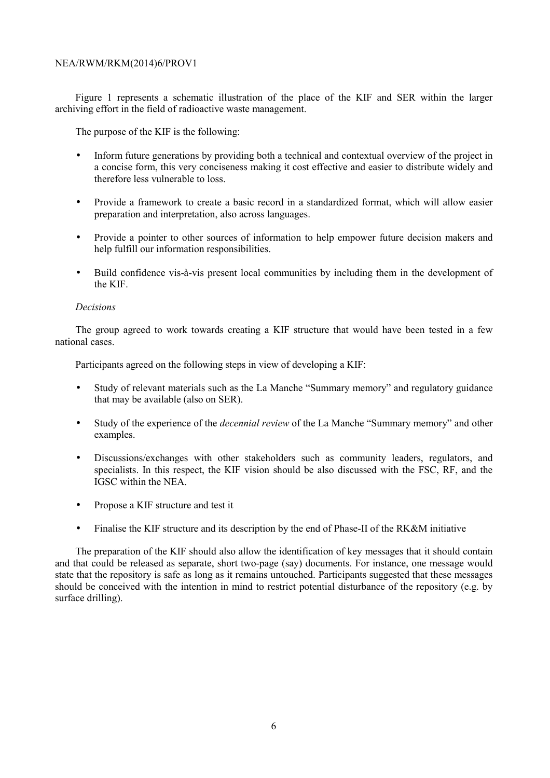Figure 1 represents a schematic illustration of the place of the KIF and SER within the larger archiving effort in the field of radioactive waste management.

The purpose of the KIF is the following:

- Inform future generations by providing both a technical and contextual overview of the project in a concise form, this very conciseness making it cost effective and easier to distribute widely and therefore less vulnerable to loss.
- Provide a framework to create a basic record in a standardized format, which will allow easier preparation and interpretation, also across languages.
- Provide a pointer to other sources of information to help empower future decision makers and help fulfill our information responsibilities.
- Build confidence vis-à-vis present local communities by including them in the development of the KIF.

### *Decisions*

The group agreed to work towards creating a KIF structure that would have been tested in a few national cases.

Participants agreed on the following steps in view of developing a KIF:

- Study of relevant materials such as the La Manche "Summary memory" and regulatory guidance that may be available (also on SER).
- Study of the experience of the *decennial review* of the La Manche "Summary memory" and other examples.
- Discussions/exchanges with other stakeholders such as community leaders, regulators, and specialists. In this respect, the KIF vision should be also discussed with the FSC, RF, and the IGSC within the NEA.
- Propose a KIF structure and test it
- Finalise the KIF structure and its description by the end of Phase-II of the RK&M initiative

The preparation of the KIF should also allow the identification of key messages that it should contain and that could be released as separate, short two-page (say) documents. For instance, one message would state that the repository is safe as long as it remains untouched. Participants suggested that these messages should be conceived with the intention in mind to restrict potential disturbance of the repository (e.g. by surface drilling).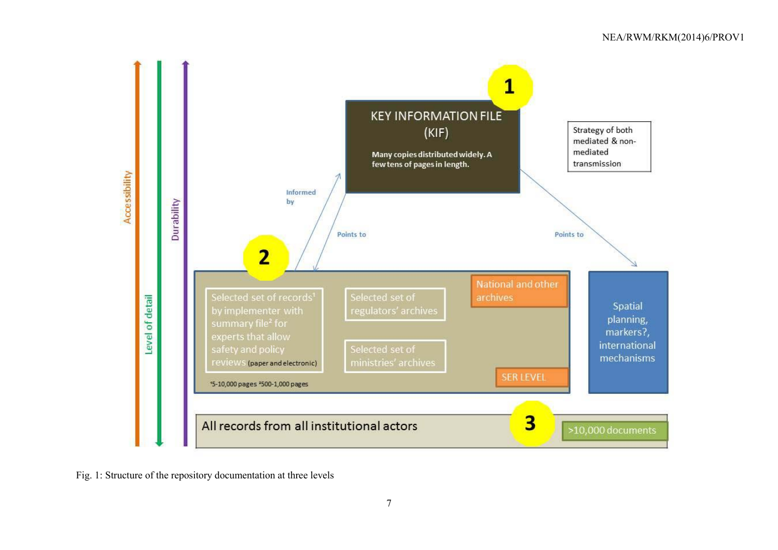

Fig. 1: Structure of the repository documentation at three levels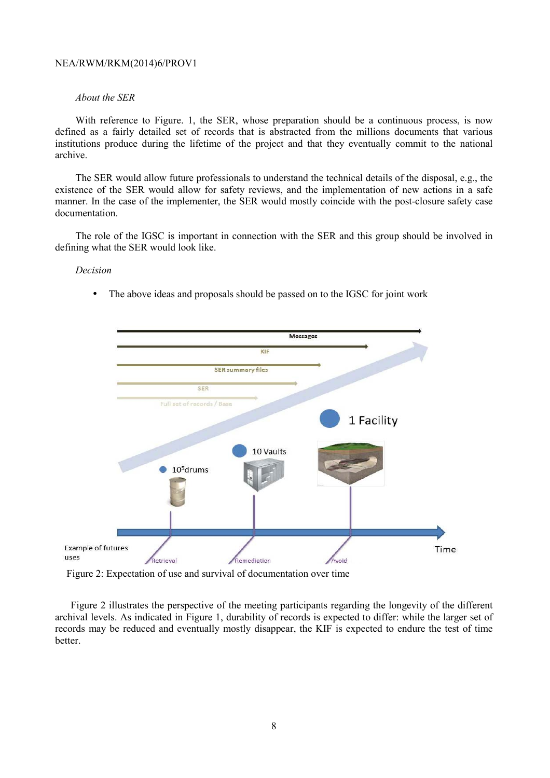## *About the SER*

With reference to Figure. 1, the SER, whose preparation should be a continuous process, is now defined as a fairly detailed set of records that is abstracted from the millions documents that various institutions produce during the lifetime of the project and that they eventually commit to the national archive.

The SER would allow future professionals to understand the technical details of the disposal, e.g., the existence of the SER would allow for safety reviews, and the implementation of new actions in a safe manner. In the case of the implementer, the SER would mostly coincide with the post-closure safety case documentation.

The role of the IGSC is important in connection with the SER and this group should be involved in defining what the SER would look like.

## *Decision*

The above ideas and proposals should be passed on to the IGSC for joint work



Figure 2: Expectation of use and survival of documentation over time

Figure 2 illustrates the perspective of the meeting participants regarding the longevity of the different archival levels. As indicated in Figure 1, durability of records is expected to differ: while the larger set of records may be reduced and eventually mostly disappear, the KIF is expected to endure the test of time better.